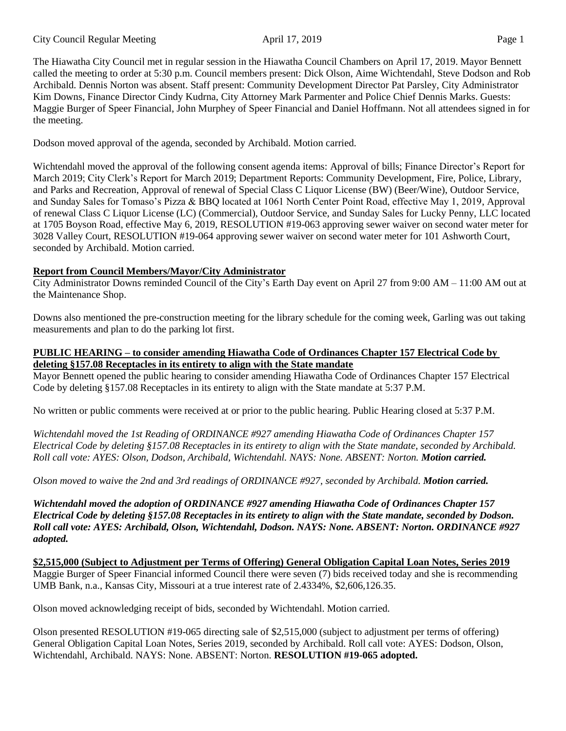The Hiawatha City Council met in regular session in the Hiawatha Council Chambers on April 17, 2019. Mayor Bennett called the meeting to order at 5:30 p.m. Council members present: Dick Olson, Aime Wichtendahl, Steve Dodson and Rob Archibald. Dennis Norton was absent. Staff present: Community Development Director Pat Parsley, City Administrator Kim Downs, Finance Director Cindy Kudrna, City Attorney Mark Parmenter and Police Chief Dennis Marks. Guests: Maggie Burger of Speer Financial, John Murphey of Speer Financial and Daniel Hoffmann. Not all attendees signed in for the meeting.

Dodson moved approval of the agenda, seconded by Archibald. Motion carried.

Wichtendahl moved the approval of the following consent agenda items: Approval of bills; Finance Director's Report for March 2019; City Clerk's Report for March 2019; Department Reports: Community Development, Fire, Police, Library, and Parks and Recreation, Approval of renewal of Special Class C Liquor License (BW) (Beer/Wine), Outdoor Service, and Sunday Sales for Tomaso's Pizza & BBQ located at 1061 North Center Point Road, effective May 1, 2019, Approval of renewal Class C Liquor License (LC) (Commercial), Outdoor Service, and Sunday Sales for Lucky Penny, LLC located at 1705 Boyson Road, effective May 6, 2019, RESOLUTION #19-063 approving sewer waiver on second water meter for 3028 Valley Court, RESOLUTION #19-064 approving sewer waiver on second water meter for 101 Ashworth Court, seconded by Archibald. Motion carried.

## **Report from Council Members/Mayor/City Administrator**

City Administrator Downs reminded Council of the City's Earth Day event on April 27 from 9:00 AM – 11:00 AM out at the Maintenance Shop.

Downs also mentioned the pre-construction meeting for the library schedule for the coming week, Garling was out taking measurements and plan to do the parking lot first.

#### **PUBLIC HEARING – to consider amending Hiawatha Code of Ordinances Chapter 157 Electrical Code by deleting §157.08 Receptacles in its entirety to align with the State mandate**

Mayor Bennett opened the public hearing to consider amending Hiawatha Code of Ordinances Chapter 157 Electrical Code by deleting §157.08 Receptacles in its entirety to align with the State mandate at 5:37 P.M.

No written or public comments were received at or prior to the public hearing. Public Hearing closed at 5:37 P.M.

*Wichtendahl moved the 1st Reading of ORDINANCE #927 amending Hiawatha Code of Ordinances Chapter 157 Electrical Code by deleting §157.08 Receptacles in its entirety to align with the State mandate, seconded by Archibald. Roll call vote: AYES: Olson, Dodson, Archibald, Wichtendahl. NAYS: None. ABSENT: Norton. Motion carried.* 

*Olson moved to waive the 2nd and 3rd readings of ORDINANCE #927, seconded by Archibald. Motion carried.* 

*Wichtendahl moved the adoption of ORDINANCE #927 amending Hiawatha Code of Ordinances Chapter 157 Electrical Code by deleting §157.08 Receptacles in its entirety to align with the State mandate, seconded by Dodson. Roll call vote: AYES: Archibald, Olson, Wichtendahl, Dodson. NAYS: None. ABSENT: Norton. ORDINANCE #927 adopted.* 

**\$2,515,000 (Subject to Adjustment per Terms of Offering) General Obligation Capital Loan Notes, Series 2019** Maggie Burger of Speer Financial informed Council there were seven (7) bids received today and she is recommending UMB Bank, n.a., Kansas City, Missouri at a true interest rate of 2.4334%, \$2,606,126.35.

Olson moved acknowledging receipt of bids, seconded by Wichtendahl. Motion carried.

Olson presented RESOLUTION #19-065 directing sale of \$2,515,000 (subject to adjustment per terms of offering) General Obligation Capital Loan Notes, Series 2019, seconded by Archibald. Roll call vote: AYES: Dodson, Olson, Wichtendahl, Archibald. NAYS: None. ABSENT: Norton. **RESOLUTION #19-065 adopted.**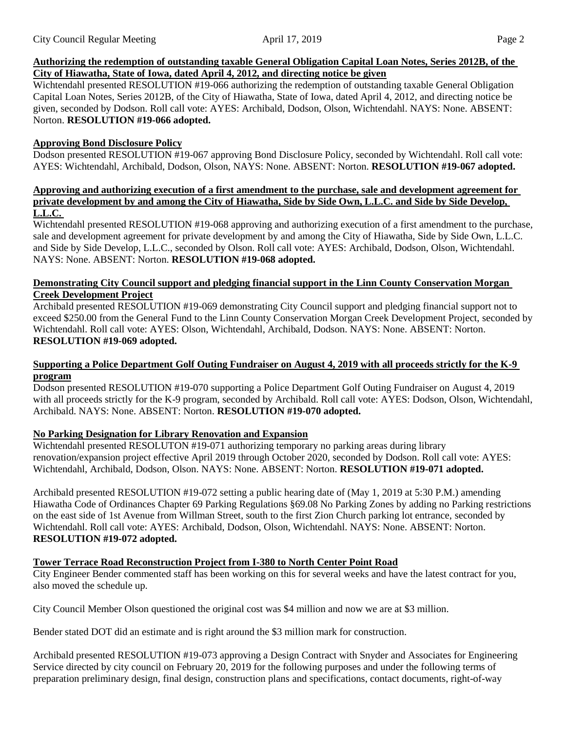### **Authorizing the redemption of outstanding taxable General Obligation Capital Loan Notes, Series 2012B, of the City of Hiawatha, State of Iowa, dated April 4, 2012, and directing notice be given**

Wichtendahl presented RESOLUTION #19-066 authorizing the redemption of outstanding taxable General Obligation Capital Loan Notes, Series 2012B, of the City of Hiawatha, State of Iowa, dated April 4, 2012, and directing notice be given, seconded by Dodson. Roll call vote: AYES: Archibald, Dodson, Olson, Wichtendahl. NAYS: None. ABSENT: Norton. **RESOLUTION #19-066 adopted.** 

### **Approving Bond Disclosure Policy**

Dodson presented RESOLUTION #19-067 approving Bond Disclosure Policy, seconded by Wichtendahl. Roll call vote: AYES: Wichtendahl, Archibald, Dodson, Olson, NAYS: None. ABSENT: Norton. **RESOLUTION #19-067 adopted.** 

#### **Approving and authorizing execution of a first amendment to the purchase, sale and development agreement for private development by and among the City of Hiawatha, Side by Side Own, L.L.C. and Side by Side Develop, L.L.C.**

Wichtendahl presented RESOLUTION #19-068 approving and authorizing execution of a first amendment to the purchase, sale and development agreement for private development by and among the City of Hiawatha, Side by Side Own, L.L.C. and Side by Side Develop, L.L.C., seconded by Olson. Roll call vote: AYES: Archibald, Dodson, Olson, Wichtendahl. NAYS: None. ABSENT: Norton. **RESOLUTION #19-068 adopted.** 

#### **Demonstrating City Council support and pledging financial support in the Linn County Conservation Morgan Creek Development Project**

Archibald presented RESOLUTION #19-069 demonstrating City Council support and pledging financial support not to exceed \$250.00 from the General Fund to the Linn County Conservation Morgan Creek Development Project, seconded by Wichtendahl. Roll call vote: AYES: Olson, Wichtendahl, Archibald, Dodson. NAYS: None. ABSENT: Norton. **RESOLUTION #19-069 adopted.** 

#### **Supporting a Police Department Golf Outing Fundraiser on August 4, 2019 with all proceeds strictly for the K-9 program**

Dodson presented RESOLUTION #19-070 supporting a Police Department Golf Outing Fundraiser on August 4, 2019 with all proceeds strictly for the K-9 program, seconded by Archibald. Roll call vote: AYES: Dodson, Olson, Wichtendahl, Archibald. NAYS: None. ABSENT: Norton. **RESOLUTION #19-070 adopted.** 

### **No Parking Designation for Library Renovation and Expansion**

Wichtendahl presented RESOLUTON #19-071 authorizing temporary no parking areas during library renovation/expansion project effective April 2019 through October 2020, seconded by Dodson. Roll call vote: AYES: Wichtendahl, Archibald, Dodson, Olson. NAYS: None. ABSENT: Norton. **RESOLUTION #19-071 adopted.** 

Archibald presented RESOLUTION #19-072 setting a public hearing date of (May 1, 2019 at 5:30 P.M.) amending Hiawatha Code of Ordinances Chapter 69 Parking Regulations §69.08 No Parking Zones by adding no Parking restrictions on the east side of 1st Avenue from Willman Street, south to the first Zion Church parking lot entrance, seconded by Wichtendahl. Roll call vote: AYES: Archibald, Dodson, Olson, Wichtendahl. NAYS: None. ABSENT: Norton. **RESOLUTION #19-072 adopted.** 

## **Tower Terrace Road Reconstruction Project from I-380 to North Center Point Road**

City Engineer Bender commented staff has been working on this for several weeks and have the latest contract for you, also moved the schedule up.

City Council Member Olson questioned the original cost was \$4 million and now we are at \$3 million.

Bender stated DOT did an estimate and is right around the \$3 million mark for construction.

Archibald presented RESOLUTION #19-073 approving a Design Contract with Snyder and Associates for Engineering Service directed by city council on February 20, 2019 for the following purposes and under the following terms of preparation preliminary design, final design, construction plans and specifications, contact documents, right-of-way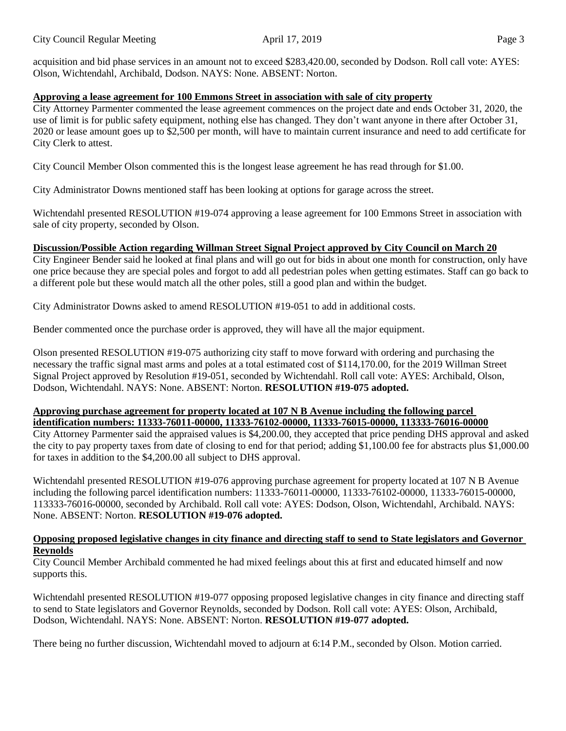acquisition and bid phase services in an amount not to exceed \$283,420.00, seconded by Dodson. Roll call vote: AYES: Olson, Wichtendahl, Archibald, Dodson. NAYS: None. ABSENT: Norton.

### **Approving a lease agreement for 100 Emmons Street in association with sale of city property**

City Attorney Parmenter commented the lease agreement commences on the project date and ends October 31, 2020, the use of limit is for public safety equipment, nothing else has changed. They don't want anyone in there after October 31, 2020 or lease amount goes up to \$2,500 per month, will have to maintain current insurance and need to add certificate for City Clerk to attest.

City Council Member Olson commented this is the longest lease agreement he has read through for \$1.00.

City Administrator Downs mentioned staff has been looking at options for garage across the street.

Wichtendahl presented RESOLUTION #19-074 approving a lease agreement for 100 Emmons Street in association with sale of city property, seconded by Olson.

### **Discussion/Possible Action regarding Willman Street Signal Project approved by City Council on March 20**

City Engineer Bender said he looked at final plans and will go out for bids in about one month for construction, only have one price because they are special poles and forgot to add all pedestrian poles when getting estimates. Staff can go back to a different pole but these would match all the other poles, still a good plan and within the budget.

City Administrator Downs asked to amend RESOLUTION #19-051 to add in additional costs.

Bender commented once the purchase order is approved, they will have all the major equipment.

Olson presented RESOLUTION #19-075 authorizing city staff to move forward with ordering and purchasing the necessary the traffic signal mast arms and poles at a total estimated cost of \$114,170.00, for the 2019 Willman Street Signal Project approved by Resolution #19-051, seconded by Wichtendahl. Roll call vote: AYES: Archibald, Olson, Dodson, Wichtendahl. NAYS: None. ABSENT: Norton. **RESOLUTION #19-075 adopted.** 

# **Approving purchase agreement for property located at 107 N B Avenue including the following parcel identification numbers: 11333-76011-00000, 11333-76102-00000, 11333-76015-00000, 113333-76016-00000**

City Attorney Parmenter said the appraised values is \$4,200.00, they accepted that price pending DHS approval and asked the city to pay property taxes from date of closing to end for that period; adding \$1,100.00 fee for abstracts plus \$1,000.00 for taxes in addition to the \$4,200.00 all subject to DHS approval.

Wichtendahl presented RESOLUTION #19-076 approving purchase agreement for property located at 107 N B Avenue including the following parcel identification numbers: 11333-76011-00000, 11333-76102-00000, 11333-76015-00000, 113333-76016-00000, seconded by Archibald. Roll call vote: AYES: Dodson, Olson, Wichtendahl, Archibald. NAYS: None. ABSENT: Norton. **RESOLUTION #19-076 adopted.** 

### **Opposing proposed legislative changes in city finance and directing staff to send to State legislators and Governor Reynolds**

City Council Member Archibald commented he had mixed feelings about this at first and educated himself and now supports this.

Wichtendahl presented RESOLUTION #19-077 opposing proposed legislative changes in city finance and directing staff to send to State legislators and Governor Reynolds, seconded by Dodson. Roll call vote: AYES: Olson, Archibald, Dodson, Wichtendahl. NAYS: None. ABSENT: Norton. **RESOLUTION #19-077 adopted.** 

There being no further discussion, Wichtendahl moved to adjourn at 6:14 P.M., seconded by Olson. Motion carried.